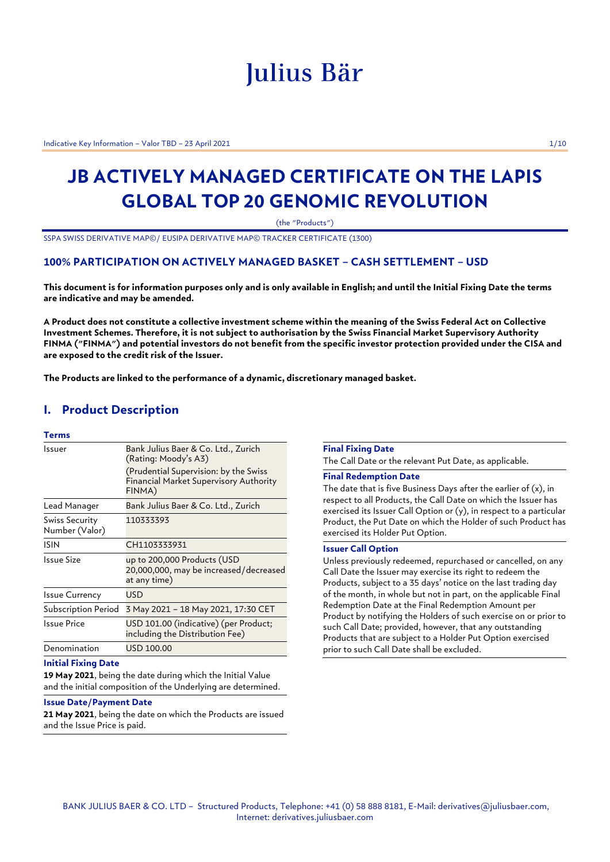# Julius Bär

Indicative Key Information – Valor TBD – 23 April 2021 1/10

## **JB ACTIVELY MANAGED CERTIFICATE ON THE LAPIS GLOBAL TOP 20 GENOMIC REVOLUTION**

(the "Products")

SSPA SWISS DERIVATIVE MAP©/ EUSIPA DERIVATIVE MAP© TRACKER CERTIFICATE (1300)

### **100% PARTICIPATION ON ACTIVELY MANAGED BASKET – CASH SETTLEMENT – USD**

**This document is for information purposes only and is only available in English; and until the Initial Fixing Date the terms are indicative and may be amended.**

**A Product does not constitute a collective investment scheme within the meaning of the Swiss Federal Act on Collective Investment Schemes. Therefore, it is not subject to authorisation by the Swiss Financial Market Supervisory Authority FINMA ("FINMA") and potential investors do not benefit from the specific investor protection provided under the CISA and are exposed to the credit risk of the Issuer.**

**The Products are linked to the performance of a dynamic, discretionary managed basket.**

### **I. Product Description**

### **Terms**

| Issuer                           | Bank Julius Baer & Co. Ltd., Zurich<br>(Rating: Moody's A3)<br>(Prudential Supervision: by the Swiss<br><b>Financial Market Supervisory Authority</b><br>FINMA) |
|----------------------------------|-----------------------------------------------------------------------------------------------------------------------------------------------------------------|
| Lead Manager                     | Bank Julius Baer & Co. Ltd., Zurich                                                                                                                             |
| Swiss Security<br>Number (Valor) | 110333393                                                                                                                                                       |
| <b>ISIN</b>                      | CH1103333931                                                                                                                                                    |
| Issue Size                       | up to 200,000 Products (USD<br>20,000,000, may be increased/decreased<br>at any time)                                                                           |
| <b>Issue Currency</b>            | USD                                                                                                                                                             |
| Subscription Period              | 3 May 2021 - 18 May 2021, 17:30 CET                                                                                                                             |
| Issue Price                      | USD 101.00 (indicative) (per Product;<br>including the Distribution Fee)                                                                                        |
| Denomination                     | USD 100.00                                                                                                                                                      |

#### **Initial Fixing Date**

**19 May 2021**, being the date during which the Initial Value and the initial composition of the Underlying are determined.

#### **Issue Date/Payment Date**

**21 May 2021**, being the date on which the Products are issued and the Issue Price is paid.

### **Final Fixing Date**

The Call Date or the relevant Put Date, as applicable.

#### **Final Redemption Date**

The date that is five Business Days after the earlier of  $(x)$ , in respect to all Products, the Call Date on which the Issuer has exercised its Issuer Call Option or (y), in respect to a particular Product, the Put Date on which the Holder of such Product has exercised its Holder Put Option.

### **Issuer Call Option**

Unless previously redeemed, repurchased or cancelled, on any Call Date the Issuer may exercise its right to redeem the Products, subject to a 35 days' notice on the last trading day of the month, in whole but not in part, on the applicable Final Redemption Date at the Final Redemption Amount per Product by notifying the Holders of such exercise on or prior to such Call Date; provided, however, that any outstanding Products that are subject to a Holder Put Option exercised prior to such Call Date shall be excluded.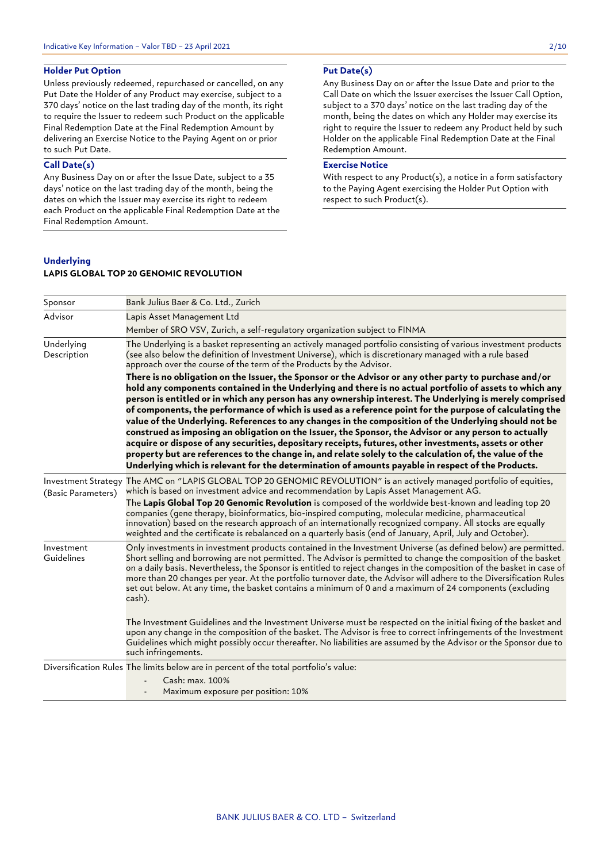### **Holder Put Option**

Unless previously redeemed, repurchased or cancelled, on any Put Date the Holder of any Product may exercise, subject to a 370 days' notice on the last trading day of the month, its right to require the Issuer to redeem such Product on the applicable Final Redemption Date at the Final Redemption Amount by delivering an Exercise Notice to the Paying Agent on or prior to such Put Date.

### **Call Date(s)**

Any Business Day on or after the Issue Date, subject to a 35 days' notice on the last trading day of the month, being the dates on which the Issuer may exercise its right to redeem each Product on the applicable Final Redemption Date at the Final Redemption Amount.

### **Put Date(s)**

Any Business Day on or after the Issue Date and prior to the Call Date on which the Issuer exercises the Issuer Call Option, subject to a 370 days' notice on the last trading day of the month, being the dates on which any Holder may exercise its right to require the Issuer to redeem any Product held by such Holder on the applicable Final Redemption Date at the Final Redemption Amount.

### **Exercise Notice**

With respect to any Product(s), a notice in a form satisfactory to the Paying Agent exercising the Holder Put Option with respect to such Product(s).

### **Underlying**

### **LAPIS GLOBAL TOP 20 GENOMIC REVOLUTION**

| Sponsor                   | Bank Julius Baer & Co. Ltd., Zurich                                                                                                                                                                                                                                                                                                                                                                                                                                                                                                                                                                                                                                                                                                                                                                                                                                                                                                                                                                                                                                                                                                                                                                                                                                                         |
|---------------------------|---------------------------------------------------------------------------------------------------------------------------------------------------------------------------------------------------------------------------------------------------------------------------------------------------------------------------------------------------------------------------------------------------------------------------------------------------------------------------------------------------------------------------------------------------------------------------------------------------------------------------------------------------------------------------------------------------------------------------------------------------------------------------------------------------------------------------------------------------------------------------------------------------------------------------------------------------------------------------------------------------------------------------------------------------------------------------------------------------------------------------------------------------------------------------------------------------------------------------------------------------------------------------------------------|
| Advisor                   | Lapis Asset Management Ltd                                                                                                                                                                                                                                                                                                                                                                                                                                                                                                                                                                                                                                                                                                                                                                                                                                                                                                                                                                                                                                                                                                                                                                                                                                                                  |
|                           | Member of SRO VSV, Zurich, a self-regulatory organization subject to FINMA                                                                                                                                                                                                                                                                                                                                                                                                                                                                                                                                                                                                                                                                                                                                                                                                                                                                                                                                                                                                                                                                                                                                                                                                                  |
| Underlying<br>Description | The Underlying is a basket representing an actively managed portfolio consisting of various investment products<br>(see also below the definition of Investment Universe), which is discretionary managed with a rule based<br>approach over the course of the term of the Products by the Advisor.<br>There is no obligation on the Issuer, the Sponsor or the Advisor or any other party to purchase and/or<br>hold any components contained in the Underlying and there is no actual portfolio of assets to which any<br>person is entitled or in which any person has any ownership interest. The Underlying is merely comprised<br>of components, the performance of which is used as a reference point for the purpose of calculating the<br>value of the Underlying. References to any changes in the composition of the Underlying should not be<br>construed as imposing an obligation on the Issuer, the Sponsor, the Advisor or any person to actually<br>acquire or dispose of any securities, depositary receipts, futures, other investments, assets or other<br>property but are references to the change in, and relate solely to the calculation of, the value of the<br>Underlying which is relevant for the determination of amounts payable in respect of the Products. |
| (Basic Parameters)        | Investment Strategy The AMC on "LAPIS GLOBAL TOP 20 GENOMIC REVOLUTION" is an actively managed portfolio of equities,<br>which is based on investment advice and recommendation by Lapis Asset Management AG.<br>The Lapis Global Top 20 Genomic Revolution is composed of the worldwide best-known and leading top 20<br>companies (gene therapy, bioinformatics, bio-inspired computing, molecular medicine, pharmaceutical<br>innovation) based on the research approach of an internationally recognized company. All stocks are equally                                                                                                                                                                                                                                                                                                                                                                                                                                                                                                                                                                                                                                                                                                                                                |
|                           | weighted and the certificate is rebalanced on a quarterly basis (end of January, April, July and October).                                                                                                                                                                                                                                                                                                                                                                                                                                                                                                                                                                                                                                                                                                                                                                                                                                                                                                                                                                                                                                                                                                                                                                                  |
| Investment<br>Guidelines  | Only investments in investment products contained in the Investment Universe (as defined below) are permitted.<br>Short selling and borrowing are not permitted. The Advisor is permitted to change the composition of the basket<br>on a daily basis. Nevertheless, the Sponsor is entitled to reject changes in the composition of the basket in case of<br>more than 20 changes per year. At the portfolio turnover date, the Advisor will adhere to the Diversification Rules<br>set out below. At any time, the basket contains a minimum of 0 and a maximum of 24 components (excluding<br>cash).                                                                                                                                                                                                                                                                                                                                                                                                                                                                                                                                                                                                                                                                                     |
|                           | The Investment Guidelines and the Investment Universe must be respected on the initial fixing of the basket and<br>upon any change in the composition of the basket. The Advisor is free to correct infringements of the Investment<br>Guidelines which might possibly occur thereafter. No liabilities are assumed by the Advisor or the Sponsor due to<br>such infringements.                                                                                                                                                                                                                                                                                                                                                                                                                                                                                                                                                                                                                                                                                                                                                                                                                                                                                                             |
|                           | Diversification Rules The limits below are in percent of the total portfolio's value:                                                                                                                                                                                                                                                                                                                                                                                                                                                                                                                                                                                                                                                                                                                                                                                                                                                                                                                                                                                                                                                                                                                                                                                                       |
|                           | Cash: max. 100%                                                                                                                                                                                                                                                                                                                                                                                                                                                                                                                                                                                                                                                                                                                                                                                                                                                                                                                                                                                                                                                                                                                                                                                                                                                                             |
|                           | Maximum exposure per position: 10%                                                                                                                                                                                                                                                                                                                                                                                                                                                                                                                                                                                                                                                                                                                                                                                                                                                                                                                                                                                                                                                                                                                                                                                                                                                          |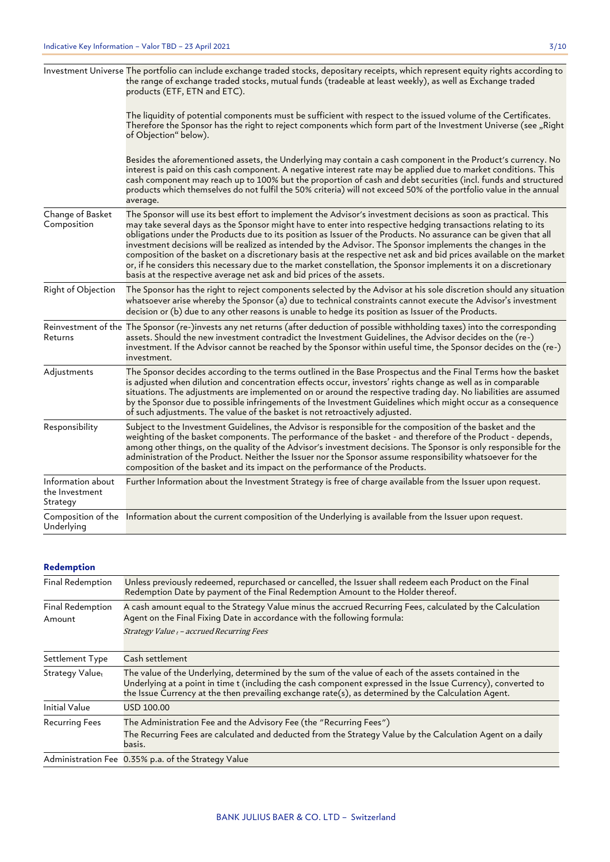|                                                 | Investment Universe The portfolio can include exchange traded stocks, depositary receipts, which represent equity rights according to<br>the range of exchange traded stocks, mutual funds (tradeable at least weekly), as well as Exchange traded<br>products (ETF, ETN and ETC).                                                                                                                                                                                                                                                                                                                                                                                                                                                                                                      |
|-------------------------------------------------|-----------------------------------------------------------------------------------------------------------------------------------------------------------------------------------------------------------------------------------------------------------------------------------------------------------------------------------------------------------------------------------------------------------------------------------------------------------------------------------------------------------------------------------------------------------------------------------------------------------------------------------------------------------------------------------------------------------------------------------------------------------------------------------------|
|                                                 | The liquidity of potential components must be sufficient with respect to the issued volume of the Certificates.<br>Therefore the Sponsor has the right to reject components which form part of the Investment Universe (see "Right<br>of Objection" below).                                                                                                                                                                                                                                                                                                                                                                                                                                                                                                                             |
|                                                 | Besides the aforementioned assets, the Underlying may contain a cash component in the Product's currency. No<br>interest is paid on this cash component. A negative interest rate may be applied due to market conditions. This<br>cash component may reach up to 100% but the proportion of cash and debt securities (incl. funds and structured<br>products which themselves do not fulfil the 50% criteria) will not exceed 50% of the portfolio value in the annual<br>average.                                                                                                                                                                                                                                                                                                     |
| Change of Basket<br>Composition                 | The Sponsor will use its best effort to implement the Advisor's investment decisions as soon as practical. This<br>may take several days as the Sponsor might have to enter into respective hedging transactions relating to its<br>obligations under the Products due to its position as Issuer of the Products. No assurance can be given that all<br>investment decisions will be realized as intended by the Advisor. The Sponsor implements the changes in the<br>composition of the basket on a discretionary basis at the respective net ask and bid prices available on the market<br>or, if he considers this necessary due to the market constellation, the Sponsor implements it on a discretionary<br>basis at the respective average net ask and bid prices of the assets. |
| Right of Objection                              | The Sponsor has the right to reject components selected by the Advisor at his sole discretion should any situation<br>whatsoever arise whereby the Sponsor (a) due to technical constraints cannot execute the Advisor's investment<br>decision or (b) due to any other reasons is unable to hedge its position as Issuer of the Products.                                                                                                                                                                                                                                                                                                                                                                                                                                              |
| Returns                                         | Reinvestment of the The Sponsor (re-)invests any net returns (after deduction of possible withholding taxes) into the corresponding<br>assets. Should the new investment contradict the Investment Guidelines, the Advisor decides on the (re-)<br>investment. If the Advisor cannot be reached by the Sponsor within useful time, the Sponsor decides on the (re-)<br>investment.                                                                                                                                                                                                                                                                                                                                                                                                      |
| Adjustments                                     | The Sponsor decides according to the terms outlined in the Base Prospectus and the Final Terms how the basket<br>is adjusted when dilution and concentration effects occur, investors' rights change as well as in comparable<br>situations. The adjustments are implemented on or around the respective trading day. No liabilities are assumed<br>by the Sponsor due to possible infringements of the Investment Guidelines which might occur as a consequence<br>of such adjustments. The value of the basket is not retroactively adjusted.                                                                                                                                                                                                                                         |
| Responsibility                                  | Subject to the Investment Guidelines, the Advisor is responsible for the composition of the basket and the<br>weighting of the basket components. The performance of the basket - and therefore of the Product - depends,<br>among other things, on the quality of the Advisor's investment decisions. The Sponsor is only responsible for the<br>administration of the Product. Neither the Issuer nor the Sponsor assume responsibility whatsoever for the<br>composition of the basket and its impact on the performance of the Products.                                                                                                                                                                                                                                            |
| Information about<br>the Investment<br>Strategy | Further Information about the Investment Strategy is free of charge available from the Issuer upon request.                                                                                                                                                                                                                                                                                                                                                                                                                                                                                                                                                                                                                                                                             |
| Underlying                                      | Composition of the Information about the current composition of the Underlying is available from the Issuer upon request.                                                                                                                                                                                                                                                                                                                                                                                                                                                                                                                                                                                                                                                               |

### **Redemption**

| Final Redemption           | Unless previously redeemed, repurchased or cancelled, the Issuer shall redeem each Product on the Final<br>Redemption Date by payment of the Final Redemption Amount to the Holder thereof.                                                                                                                                   |
|----------------------------|-------------------------------------------------------------------------------------------------------------------------------------------------------------------------------------------------------------------------------------------------------------------------------------------------------------------------------|
| Final Redemption<br>Amount | A cash amount equal to the Strategy Value minus the accrued Recurring Fees, calculated by the Calculation<br>Agent on the Final Fixing Date in accordance with the following formula:<br>Strategy Value t - accrued Recurring Fees                                                                                            |
| Settlement Type            | Cash settlement                                                                                                                                                                                                                                                                                                               |
| Strategy Valuet            | The value of the Underlying, determined by the sum of the value of each of the assets contained in the<br>Underlying at a point in time t (including the cash component expressed in the Issue Currency), converted to<br>the Issue Currency at the then prevailing exchange rate(s), as determined by the Calculation Agent. |
| <b>Initial Value</b>       | USD 100.00                                                                                                                                                                                                                                                                                                                    |
| <b>Recurring Fees</b>      | The Administration Fee and the Advisory Fee (the "Recurring Fees")<br>The Recurring Fees are calculated and deducted from the Strategy Value by the Calculation Agent on a daily<br>basis.                                                                                                                                    |
|                            | Administration Fee 0.35% p.a. of the Strategy Value                                                                                                                                                                                                                                                                           |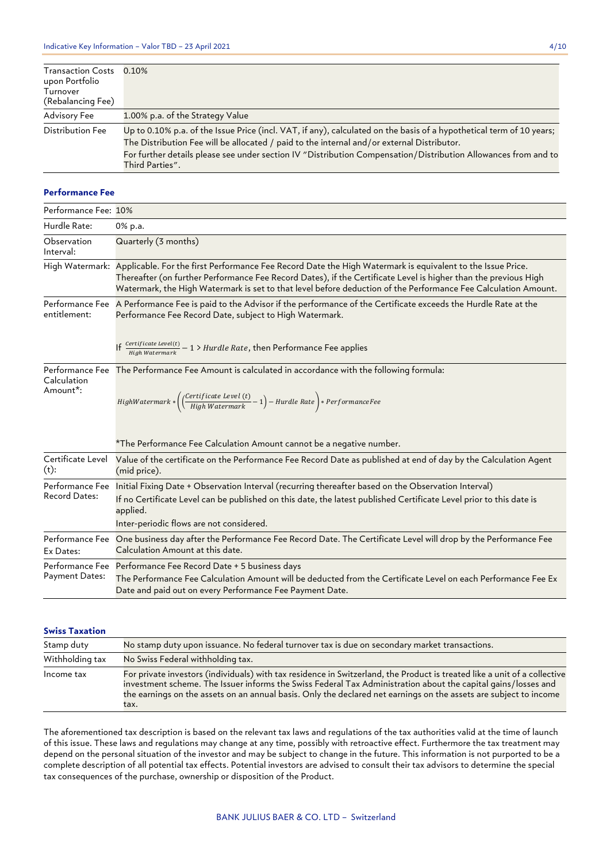| <b>Transaction Costs</b><br>upon Portfolio<br>Turnover | 0.10%                                                                                                                                                                                                                                                                                                                                                   |
|--------------------------------------------------------|---------------------------------------------------------------------------------------------------------------------------------------------------------------------------------------------------------------------------------------------------------------------------------------------------------------------------------------------------------|
| (Rebalancing Fee)                                      |                                                                                                                                                                                                                                                                                                                                                         |
| Advisory Fee                                           | 1.00% p.a. of the Strategy Value                                                                                                                                                                                                                                                                                                                        |
| Distribution Fee                                       | Up to 0.10% p.a. of the Issue Price (incl. VAT, if any), calculated on the basis of a hypothetical term of 10 years;<br>The Distribution Fee will be allocated / paid to the internal and/or external Distributor.<br>For further details please see under section IV "Distribution Compensation/Distribution Allowances from and to<br>Third Parties". |

#### **Performance Fee**

| Performance Fee: 10%                    |                                                                                                                                                                                                                                                                                                                                                                 |
|-----------------------------------------|-----------------------------------------------------------------------------------------------------------------------------------------------------------------------------------------------------------------------------------------------------------------------------------------------------------------------------------------------------------------|
| Hurdle Rate:                            | 0% p.a.                                                                                                                                                                                                                                                                                                                                                         |
| Observation<br>Interval:                | Quarterly (3 months)                                                                                                                                                                                                                                                                                                                                            |
|                                         | High Watermark: Applicable. For the first Performance Fee Record Date the High Watermark is equivalent to the Issue Price.<br>Thereafter (on further Performance Fee Record Dates), if the Certificate Level is higher than the previous High<br>Watermark, the High Watermark is set to that level before deduction of the Performance Fee Calculation Amount. |
| entitlement:                            | Performance Fee A Performance Fee is paid to the Advisor if the performance of the Certificate exceeds the Hurdle Rate at the<br>Performance Fee Record Date, subject to High Watermark.                                                                                                                                                                        |
|                                         | If $\frac{Certificate \text{ } Level(t)}{High \text{ } Watermark} - 1$ > Hurdle Rate, then Performance Fee applies                                                                                                                                                                                                                                              |
| Calculation<br>Amount*:                 | Performance Fee The Performance Fee Amount is calculated in accordance with the following formula:<br>$HighWater mark*\left(\left(\frac{Certificate\; Level\; (t)}{High\; Watermark}-1\right)-Hurdle\; Rate\right)*PerformanceFee$                                                                                                                              |
|                                         | *The Performance Fee Calculation Amount cannot be a negative number.                                                                                                                                                                                                                                                                                            |
| Certificate Level<br>$(t)$ :            | Value of the certificate on the Performance Fee Record Date as published at end of day by the Calculation Agent<br>(mid price).                                                                                                                                                                                                                                 |
| Performance Fee<br><b>Record Dates:</b> | Initial Fixing Date + Observation Interval (recurring thereafter based on the Observation Interval)<br>If no Certificate Level can be published on this date, the latest published Certificate Level prior to this date is<br>applied.<br>Inter-periodic flows are not considered.                                                                              |
| Performance Fee<br>Ex Dates:            | One business day after the Performance Fee Record Date. The Certificate Level will drop by the Performance Fee<br>Calculation Amount at this date.                                                                                                                                                                                                              |
| Performance Fee<br>Payment Dates:       | Performance Fee Record Date + 5 business days<br>The Performance Fee Calculation Amount will be deducted from the Certificate Level on each Performance Fee Ex<br>Date and paid out on every Performance Fee Payment Date.                                                                                                                                      |

### **Swiss Taxation**

| Stamp duty      | No stamp duty upon issuance. No federal turnover tax is due on secondary market transactions.                                                                                                                                                                                                                                                                           |
|-----------------|-------------------------------------------------------------------------------------------------------------------------------------------------------------------------------------------------------------------------------------------------------------------------------------------------------------------------------------------------------------------------|
| Withholding tax | No Swiss Federal withholding tax.                                                                                                                                                                                                                                                                                                                                       |
| Income tax      | For private investors (individuals) with tax residence in Switzerland, the Product is treated like a unit of a collective<br>investment scheme. The Issuer informs the Swiss Federal Tax Administration about the capital gains/losses and<br>the earnings on the assets on an annual basis. Only the declared net earnings on the assets are subject to income<br>tax. |

The aforementioned tax description is based on the relevant tax laws and regulations of the tax authorities valid at the time of launch of this issue. These laws and regulations may change at any time, possibly with retroactive effect. Furthermore the tax treatment may depend on the personal situation of the investor and may be subject to change in the future. This information is not purported to be a complete description of all potential tax effects. Potential investors are advised to consult their tax advisors to determine the special tax consequences of the purchase, ownership or disposition of the Product.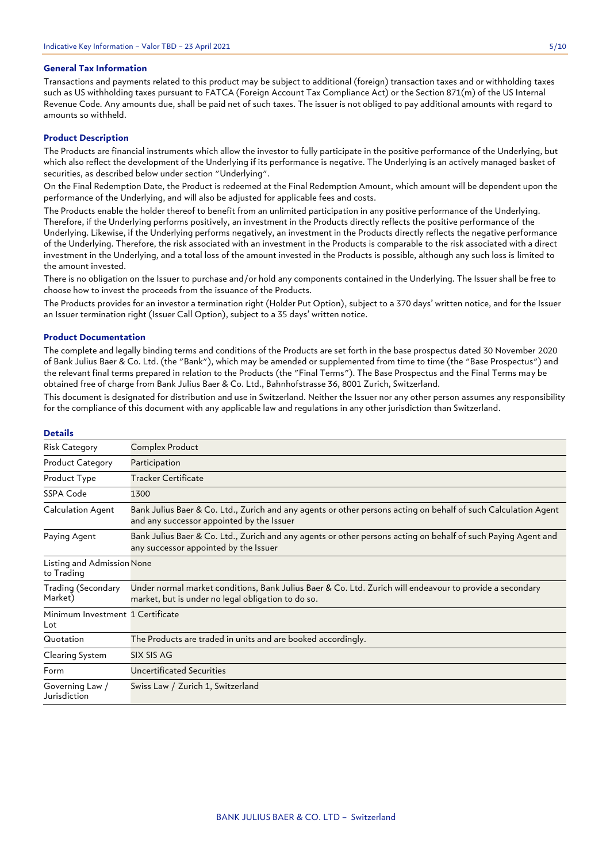### **General Tax Information**

Transactions and payments related to this product may be subject to additional (foreign) transaction taxes and or withholding taxes such as US withholding taxes pursuant to FATCA (Foreign Account Tax Compliance Act) or the Section 871(m) of the US Internal Revenue Code. Any amounts due, shall be paid net of such taxes. The issuer is not obliged to pay additional amounts with regard to amounts so withheld.

### **Product Description**

The Products are financial instruments which allow the investor to fully participate in the positive performance of the Underlying, but which also reflect the development of the Underlying if its performance is negative. The Underlying is an actively managed basket of securities, as described below under section "Underlying".

On the Final Redemption Date, the Product is redeemed at the Final Redemption Amount, which amount will be dependent upon the performance of the Underlying, and will also be adjusted for applicable fees and costs.

The Products enable the holder thereof to benefit from an unlimited participation in any positive performance of the Underlying. Therefore, if the Underlying performs positively, an investment in the Products directly reflects the positive performance of the Underlying. Likewise, if the Underlying performs negatively, an investment in the Products directly reflects the negative performance of the Underlying. Therefore, the risk associated with an investment in the Products is comparable to the risk associated with a direct investment in the Underlying, and a total loss of the amount invested in the Products is possible, although any such loss is limited to the amount invested.

There is no obligation on the Issuer to purchase and/or hold any components contained in the Underlying. The Issuer shall be free to choose how to invest the proceeds from the issuance of the Products.

The Products provides for an investor a termination right (Holder Put Option), subject to a 370 days' written notice, and for the Issuer an Issuer termination right (Issuer Call Option), subject to a 35 days' written notice.

#### **Product Documentation**

The complete and legally binding terms and conditions of the Products are set forth in the base prospectus dated 30 November 2020 of Bank Julius Baer & Co. Ltd. (the "Bank"), which may be amended or supplemented from time to time (the "Base Prospectus") and the relevant final terms prepared in relation to the Products (the "Final Terms"). The Base Prospectus and the Final Terms may be obtained free of charge from Bank Julius Baer & Co. Ltd., Bahnhofstrasse 36, 8001 Zurich, Switzerland.

This document is designated for distribution and use in Switzerland. Neither the Issuer nor any other person assumes any responsibility for the compliance of this document with any applicable law and regulations in any other jurisdiction than Switzerland.

| Details                                  |                                                                                                                                                                |
|------------------------------------------|----------------------------------------------------------------------------------------------------------------------------------------------------------------|
| <b>Risk Category</b>                     | Complex Product                                                                                                                                                |
| <b>Product Category</b>                  | Participation                                                                                                                                                  |
| Product Type                             | Tracker Certificate                                                                                                                                            |
| SSPA Code                                | 1300                                                                                                                                                           |
| Calculation Agent                        | Bank Julius Baer & Co. Ltd., Zurich and any agents or other persons acting on behalf of such Calculation Agent<br>and any successor appointed by the Issuer    |
| Paying Agent                             | Bank Julius Baer & Co. Ltd., Zurich and any agents or other persons acting on behalf of such Paying Agent and<br>any successor appointed by the Issuer         |
| Listing and Admission None<br>to Trading |                                                                                                                                                                |
| Trading (Secondary<br>Market)            | Under normal market conditions, Bank Julius Baer & Co. Ltd. Zurich will endeavour to provide a secondary<br>market, but is under no legal obligation to do so. |
| Minimum Investment 1 Certificate<br>Lot  |                                                                                                                                                                |
| Quotation                                | The Products are traded in units and are booked accordingly.                                                                                                   |
| Clearing System                          | SIX SIS AG                                                                                                                                                     |
| Form                                     | Uncertificated Securities                                                                                                                                      |
| Governing Law /<br>Jurisdiction          | Swiss Law / Zurich 1, Switzerland                                                                                                                              |

### **Details**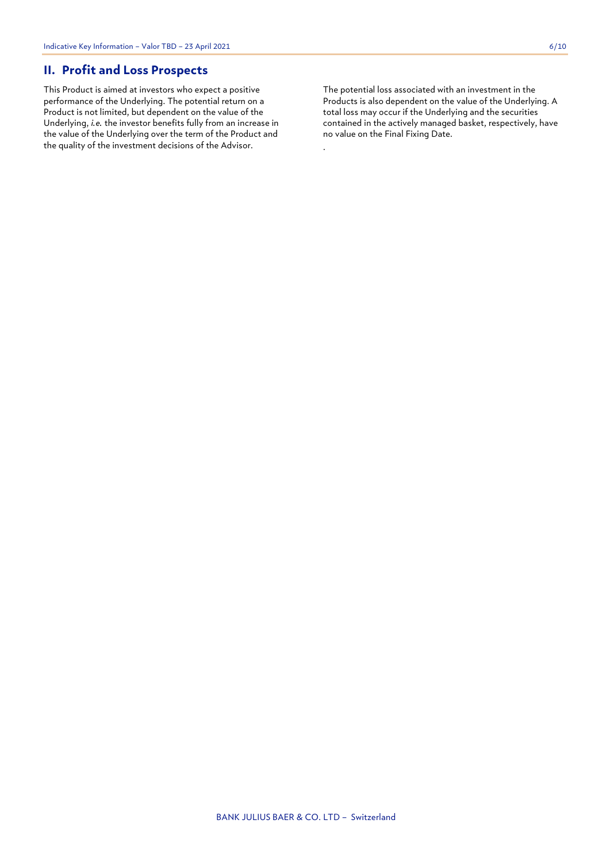### **II. Profit and Loss Prospects**

This Product is aimed at investors who expect a positive performance of the Underlying. The potential return on a Product is not limited, but dependent on the value of the Underlying, *i.e.* the investor benefits fully from an increase in the value of the Underlying over the term of the Product and the quality of the investment decisions of the Advisor.

The potential loss associated with an investment in the Products is also dependent on the value of the Underlying. A total loss may occur if the Underlying and the securities contained in the actively managed basket, respectively, have no value on the Final Fixing Date.

.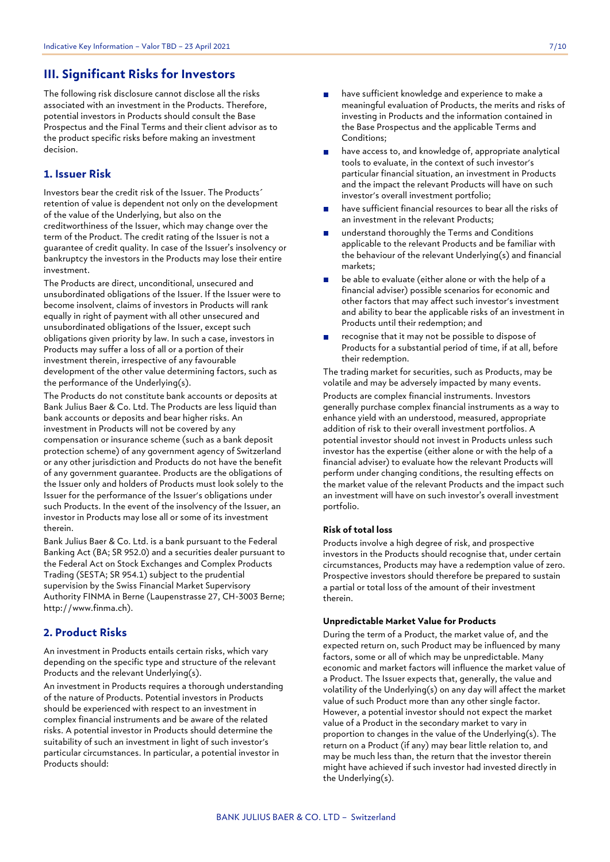### **III. Significant Risks for Investors**

The following risk disclosure cannot disclose all the risks associated with an investment in the Products. Therefore, potential investors in Products should consult the Base Prospectus and the Final Terms and their client advisor as to the product specific risks before making an investment decision.

### **1. Issuer Risk**

Investors bear the credit risk of the Issuer. The Products´ retention of value is dependent not only on the development of the value of the Underlying, but also on the creditworthiness of the Issuer, which may change over the term of the Product. The credit rating of the Issuer is not a guarantee of credit quality. In case of the Issuer's insolvency or bankruptcy the investors in the Products may lose their entire investment.

The Products are direct, unconditional, unsecured and unsubordinated obligations of the Issuer. If the Issuer were to become insolvent, claims of investors in Products will rank equally in right of payment with all other unsecured and unsubordinated obligations of the Issuer, except such obligations given priority by law. In such a case, investors in Products may suffer a loss of all or a portion of their investment therein, irrespective of any favourable development of the other value determining factors, such as the performance of the Underlying(s).

The Products do not constitute bank accounts or deposits at Bank Julius Baer & Co. Ltd. The Products are less liquid than bank accounts or deposits and bear higher risks. An investment in Products will not be covered by any compensation or insurance scheme (such as a bank deposit protection scheme) of any government agency of Switzerland or any other jurisdiction and Products do not have the benefit of any government guarantee. Products are the obligations of the Issuer only and holders of Products must look solely to the Issuer for the performance of the Issuer's obligations under such Products. In the event of the insolvency of the Issuer, an investor in Products may lose all or some of its investment therein.

Bank Julius Baer & Co. Ltd. is a bank pursuant to the Federal Banking Act (BA; SR 952.0) and a securities dealer pursuant to the Federal Act on Stock Exchanges and Complex Products Trading (SESTA; SR 954.1) subject to the prudential supervision by the Swiss Financial Market Supervisory Authority FINMA in Berne (Laupenstrasse 27, CH-3003 Berne; http://www.finma.ch).

### **2. Product Risks**

An investment in Products entails certain risks, which vary depending on the specific type and structure of the relevant Products and the relevant Underlying(s).

An investment in Products requires a thorough understanding of the nature of Products. Potential investors in Products should be experienced with respect to an investment in complex financial instruments and be aware of the related risks. A potential investor in Products should determine the suitability of such an investment in light of such investor's particular circumstances. In particular, a potential investor in Products should:

- have sufficient knowledge and experience to make a meaningful evaluation of Products, the merits and risks of investing in Products and the information contained in the Base Prospectus and the applicable Terms and Conditions;
- have access to, and knowledge of, appropriate analytical tools to evaluate, in the context of such investor's particular financial situation, an investment in Products and the impact the relevant Products will have on such investor's overall investment portfolio;
- have sufficient financial resources to bear all the risks of an investment in the relevant Products;
- understand thoroughly the Terms and Conditions applicable to the relevant Products and be familiar with the behaviour of the relevant Underlying(s) and financial markets;
- be able to evaluate (either alone or with the help of a financial adviser) possible scenarios for economic and other factors that may affect such investor's investment and ability to bear the applicable risks of an investment in Products until their redemption; and
- recognise that it may not be possible to dispose of Products for a substantial period of time, if at all, before their redemption.

The trading market for securities, such as Products, may be volatile and may be adversely impacted by many events. Products are complex financial instruments. Investors generally purchase complex financial instruments as a way to enhance yield with an understood, measured, appropriate addition of risk to their overall investment portfolios. A potential investor should not invest in Products unless such investor has the expertise (either alone or with the help of a financial adviser) to evaluate how the relevant Products will perform under changing conditions, the resulting effects on the market value of the relevant Products and the impact such an investment will have on such investor's overall investment portfolio.

### **Risk of total loss**

Products involve a high degree of risk, and prospective investors in the Products should recognise that, under certain circumstances, Products may have a redemption value of zero. Prospective investors should therefore be prepared to sustain a partial or total loss of the amount of their investment therein.

### **Unpredictable Market Value for Products**

During the term of a Product, the market value of, and the expected return on, such Product may be influenced by many factors, some or all of which may be unpredictable. Many economic and market factors will influence the market value of a Product. The Issuer expects that, generally, the value and volatility of the Underlying(s) on any day will affect the market value of such Product more than any other single factor. However, a potential investor should not expect the market value of a Product in the secondary market to vary in proportion to changes in the value of the Underlying(s). The return on a Product (if any) may bear little relation to, and may be much less than, the return that the investor therein might have achieved if such investor had invested directly in the Underlying(s).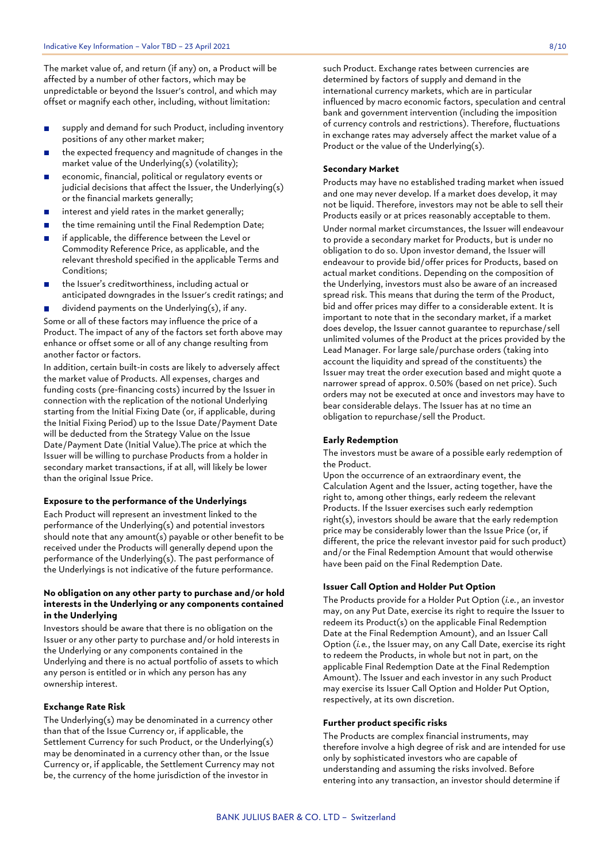The market value of, and return (if any) on, a Product will be affected by a number of other factors, which may be unpredictable or beyond the Issuer's control, and which may offset or magnify each other, including, without limitation:

- supply and demand for such Product, including inventory  $\mathbf{r}$ positions of any other market maker;
- the expected frequency and magnitude of changes in the market value of the Underlying(s) (volatility);
- economic, financial, political or regulatory events or  $\mathbf{r}$ judicial decisions that affect the Issuer, the Underlying(s) or the financial markets generally;
- interest and yield rates in the market generally;  $\blacksquare$
- the time remaining until the Final Redemption Date;  $\blacksquare$
- if applicable, the difference between the Level or  $\blacksquare$ Commodity Reference Price, as applicable, and the relevant threshold specified in the applicable Terms and Conditions;
- the Issuer's creditworthiness, including actual or anticipated downgrades in the Issuer's credit ratings; and
- dividend payments on the Underlying(s), if any.  $\mathbf{r}$ Some or all of these factors may influence the price of a Product. The impact of any of the factors set forth above may enhance or offset some or all of any change resulting from another factor or factors.

In addition, certain built-in costs are likely to adversely affect the market value of Products. All expenses, charges and funding costs (pre-financing costs) incurred by the Issuer in connection with the replication of the notional Underlying starting from the Initial Fixing Date (or, if applicable, during the Initial Fixing Period) up to the Issue Date/Payment Date will be deducted from the Strategy Value on the Issue Date/Payment Date (Initial Value).The price at which the Issuer will be willing to purchase Products from a holder in secondary market transactions, if at all, will likely be lower than the original Issue Price.

### **Exposure to the performance of the Underlyings**

Each Product will represent an investment linked to the performance of the Underlying(s) and potential investors should note that any amount(s) payable or other benefit to be received under the Products will generally depend upon the performance of the Underlying(s). The past performance of the Underlyings is not indicative of the future performance.

### **No obligation on any other party to purchase and/or hold interests in the Underlying or any components contained in the Underlying**

Investors should be aware that there is no obligation on the Issuer or any other party to purchase and/or hold interests in the Underlying or any components contained in the Underlying and there is no actual portfolio of assets to which any person is entitled or in which any person has any ownership interest.

#### **Exchange Rate Risk**

The Underlying(s) may be denominated in a currency other than that of the Issue Currency or, if applicable, the Settlement Currency for such Product, or the Underlying(s) may be denominated in a currency other than, or the Issue Currency or, if applicable, the Settlement Currency may not be, the currency of the home jurisdiction of the investor in

such Product. Exchange rates between currencies are determined by factors of supply and demand in the international currency markets, which are in particular influenced by macro economic factors, speculation and central bank and government intervention (including the imposition of currency controls and restrictions). Therefore, fluctuations in exchange rates may adversely affect the market value of a Product or the value of the Underlying(s).

### **Secondary Market**

Products may have no established trading market when issued and one may never develop. If a market does develop, it may not be liquid. Therefore, investors may not be able to sell their Products easily or at prices reasonably acceptable to them. Under normal market circumstances, the Issuer will endeavour to provide a secondary market for Products, but is under no obligation to do so. Upon investor demand, the Issuer will endeavour to provide bid/offer prices for Products, based on actual market conditions. Depending on the composition of the Underlying, investors must also be aware of an increased spread risk. This means that during the term of the Product, bid and offer prices may differ to a considerable extent. It is important to note that in the secondary market, if a market does develop, the Issuer cannot guarantee to repurchase/sell unlimited volumes of the Product at the prices provided by the Lead Manager. For large sale/purchase orders (taking into account the liquidity and spread of the constituents) the Issuer may treat the order execution based and might quote a narrower spread of approx. 0.50% (based on net price). Such orders may not be executed at once and investors may have to bear considerable delays. The Issuer has at no time an obligation to repurchase/sell the Product.

#### **Early Redemption**

The investors must be aware of a possible early redemption of the Product.

Upon the occurrence of an extraordinary event, the Calculation Agent and the Issuer, acting together, have the right to, among other things, early redeem the relevant Products. If the Issuer exercises such early redemption right(s), investors should be aware that the early redemption price may be considerably lower than the Issue Price (or, if different, the price the relevant investor paid for such product) and/or the Final Redemption Amount that would otherwise have been paid on the Final Redemption Date.

### **Issuer Call Option and Holder Put Option**

The Products provide for a Holder Put Option (*i.e.*, an investor may, on any Put Date, exercise its right to require the Issuer to redeem its Product(s) on the applicable Final Redemption Date at the Final Redemption Amount), and an Issuer Call Option (*i.e.*, the Issuer may, on any Call Date, exercise its right to redeem the Products, in whole but not in part, on the applicable Final Redemption Date at the Final Redemption Amount). The Issuer and each investor in any such Product may exercise its Issuer Call Option and Holder Put Option, respectively, at its own discretion.

### **Further product specific risks**

The Products are complex financial instruments, may therefore involve a high degree of risk and are intended for use only by sophisticated investors who are capable of understanding and assuming the risks involved. Before entering into any transaction, an investor should determine if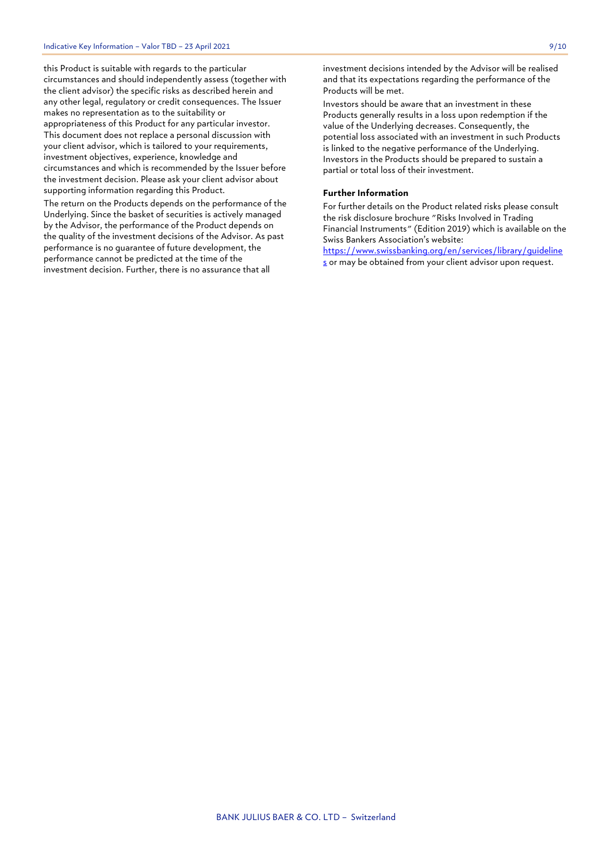this Product is suitable with regards to the particular circumstances and should independently assess (together with the client advisor) the specific risks as described herein and any other legal, regulatory or credit consequences. The Issuer makes no representation as to the suitability or appropriateness of this Product for any particular investor. This document does not replace a personal discussion with your client advisor, which is tailored to your requirements, investment objectives, experience, knowledge and circumstances and which is recommended by the Issuer before the investment decision. Please ask your client advisor about supporting information regarding this Product.

The return on the Products depends on the performance of the Underlying. Since the basket of securities is actively managed by the Advisor, the performance of the Product depends on the quality of the investment decisions of the Advisor. As past performance is no guarantee of future development, the performance cannot be predicted at the time of the investment decision. Further, there is no assurance that all

investment decisions intended by the Advisor will be realised and that its expectations regarding the performance of the Products will be met.

Investors should be aware that an investment in these Products generally results in a loss upon redemption if the value of the Underlying decreases. Consequently, the potential loss associated with an investment in such Products is linked to the negative performance of the Underlying. Investors in the Products should be prepared to sustain a partial or total loss of their investment.

### **Further Information**

For further details on the Product related risks please consult the risk disclosure brochure "Risks Involved in Trading Financial Instruments" (Edition 2019) which is available on the Swiss Bankers Association's website:

[https://www.swissbanking.org/en/services/library/guideline](https://www.swissbanking.org/en/services/library/guidelines) [s](https://www.swissbanking.org/en/services/library/guidelines) or may be obtained from your client advisor upon request.